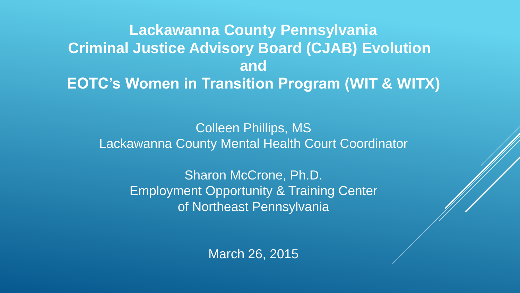## **Lackawanna County Pennsylvania Criminal Justice Advisory Board (CJAB) Evolution and EOTC's Women in Transition Program (WIT & WITX)**

Colleen Phillips, MS Lackawanna County Mental Health Court Coordinator

> Sharon McCrone, Ph.D. Employment Opportunity & Training Center of Northeast Pennsylvania

> > March 26, 2015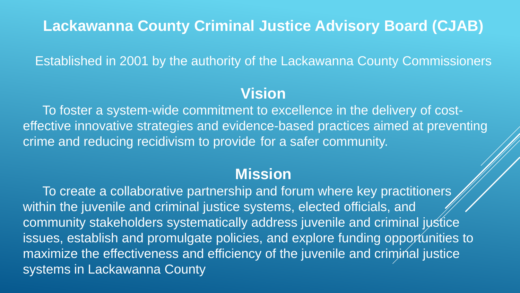### **Lackawanna County Criminal Justice Advisory Board (CJAB)**

Established in 2001 by the authority of the Lackawanna County Commissioners

### **Vision**

To foster a system-wide commitment to excellence in the delivery of costeffective innovative strategies and evidence-based practices aimed at preventing crime and reducing recidivism to provide for a safer community.

### **Mission**

To create a collaborative partnership and forum where key practitioners within the juvenile and criminal justice systems, elected officials, and community stakeholders systematically address juvenile and criminal justice issues, establish and promulgate policies, and explore funding opportunities to maximize the effectiveness and efficiency of the juvenile and criminal justice systems in Lackawanna County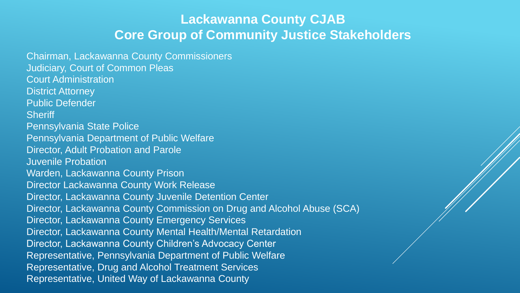#### **Lackawanna County CJAB Core Group of Community Justice Stakeholders**

Chairman, Lackawanna County Commissioners Judiciary, Court of Common Pleas Court Administration District Attorney Public Defender **Sheriff** Pennsylvania State Police Pennsylvania Department of Public Welfare Director, Adult Probation and Parole Juvenile Probation Warden, Lackawanna County Prison Director Lackawanna County Work Release Director, Lackawanna County Juvenile Detention Center Director, Lackawanna County Commission on Drug and Alcohol Abuse (SCA) Director, Lackawanna County Emergency Services Director, Lackawanna County Mental Health/Mental Retardation Director, Lackawanna County Children's Advocacy Center Representative, Pennsylvania Department of Public Welfare Representative, Drug and Alcohol Treatment Services Representative, United Way of Lackawanna County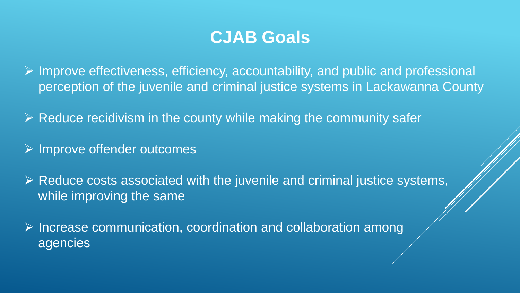# **CJAB Goals**

 $\triangleright$  Improve effectiveness, efficiency, accountability, and public and professional perception of the juvenile and criminal justice systems in Lackawanna County

 $\triangleright$  Reduce recidivism in the county while making the community safer

 $\triangleright$  Improve offender outcomes

 $\triangleright$  Reduce costs associated with the juvenile and criminal justice systems, while improving the same

 $\triangleright$  Increase communication, coordination and collaboration among agencies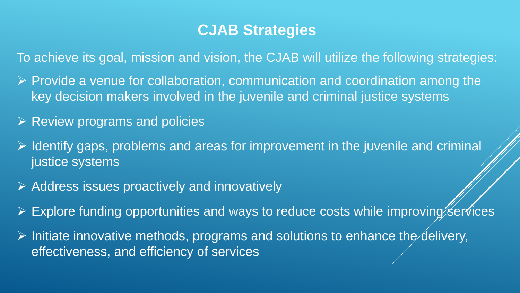### **CJAB Strategies**

To achieve its goal, mission and vision, the CJAB will utilize the following strategies:

- $\triangleright$  Provide a venue for collaboration, communication and coordination among the key decision makers involved in the juvenile and criminal justice systems
- $\triangleright$  Review programs and policies
- $\triangleright$  Identify gaps, problems and areas for improvement in the juvenile and criminal justice systems
- $\triangleright$  Address issues proactively and innovatively
- $\triangleright$  Explore funding opportunities and ways to reduce costs while improving services
- $\triangleright$  Initiate innovative methods, programs and solutions to enhance the delivery, effectiveness, and efficiency of services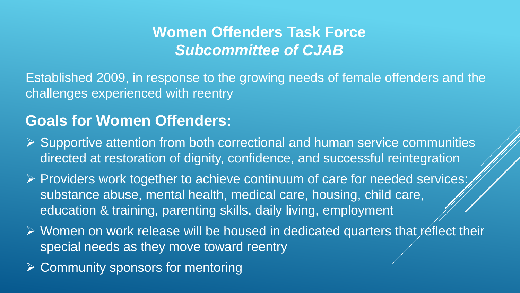## **Women Offenders Task Force** *Subcommittee of CJAB*

Established 2009, in response to the growing needs of female offenders and the challenges experienced with reentry

### **Goals for Women Offenders:**

- $\triangleright$  Supportive attention from both correctional and human service communities directed at restoration of dignity, confidence, and successful reintegration
- $\triangleright$  Providers work together to achieve continuum of care for needed services: substance abuse, mental health, medical care, housing, child care, education & training, parenting skills, daily living, employment
- $\triangleright$  Women on work release will be housed in dedicated quarters that reflect their special needs as they move toward reentry
- ▶ Community sponsors for mentoring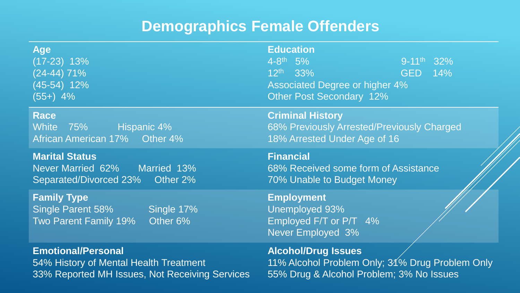## **Demographics Female Offenders**

| <b>Age</b><br>$(17-23)$ 13%<br>$(24-44)$ 71%<br>(45-54) 12%<br>$(55+)$ 4%                  | <b>Education</b><br>$4 - 8$ <sup>th</sup> 5%<br>$9-11$ <sup>th</sup> 32%<br>$12^{th}$ 33%<br>GED 14%<br><b>Associated Degree or higher 4%</b><br><b>Other Post Secondary 12%</b> |
|--------------------------------------------------------------------------------------------|----------------------------------------------------------------------------------------------------------------------------------------------------------------------------------|
| <b>Race</b>                                                                                | <b>Criminal History</b>                                                                                                                                                          |
| White 75% Hispanic 4%                                                                      | 68% Previously Arrested/Previously Charged                                                                                                                                       |
| African American 17% Other 4%                                                              | 18% Arrested Under Age of 16                                                                                                                                                     |
| <b>Marital Status</b>                                                                      | <b>Financial</b>                                                                                                                                                                 |
| Never Married 62% Married 13%                                                              | 68% Received some form of Assistance                                                                                                                                             |
| Separated/Divorced 23% Other 2%                                                            | 70% Unable to Budget Money                                                                                                                                                       |
| <b>Family Type</b><br>Single Parent 58%<br>Single 17%<br>Other 6%<br>Two Parent Family 19% | <b>Employment</b><br>Unemployed 93%<br>Employed F/T or P/T 4%<br><b>Never Employed 3%</b>                                                                                        |
| <b>Emotional/Personal</b>                                                                  | <b>Alcohol/Drug Issues</b>                                                                                                                                                       |
| 54% History of Mental Health Treatment                                                     | 11% Alcohol Problem Only; 31% Drug Problem Only                                                                                                                                  |
| 33% Reported MH Issues, Not Receiving Services                                             | 55% Drug & Alcohol Problem; 3% No Issues                                                                                                                                         |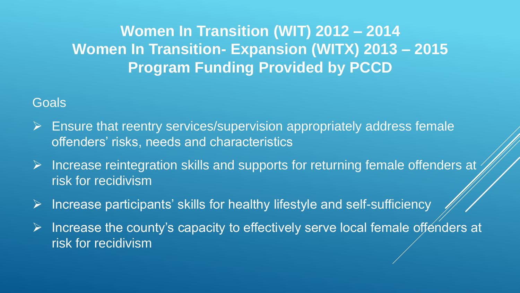## **Women In Transition (WIT) 2012 – 2014 Women In Transition- Expansion (WITX) 2013 – 2015 Program Funding Provided by PCCD**

#### **Goals**

- $\triangleright$  Ensure that reentry services/supervision appropriately address female offenders' risks, needs and characteristics
- $\triangleright$  Increase reintegration skills and supports for returning female offenders at risk for recidivism
- Increase participants' skills for healthy lifestyle and self-sufficiency
- $\triangleright$  Increase the county's capacity to effectively serve local female offenders at risk for recidivism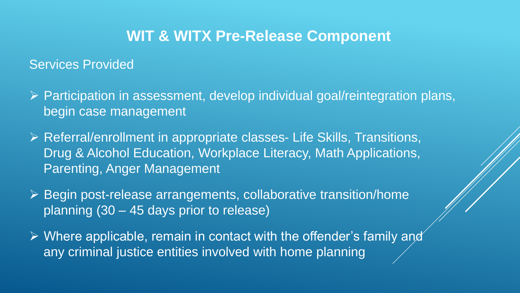### **WIT & WITX Pre-Release Component**

#### Services Provided

- $\triangleright$  Participation in assessment, develop individual goal/reintegration plans, begin case management
- Referral/enrollment in appropriate classes- Life Skills, Transitions, Drug & Alcohol Education, Workplace Literacy, Math Applications, Parenting, Anger Management
- ▶ Begin post-release arrangements, collaborative transition/home planning (30 – 45 days prior to release)
- $\triangleright$  Where applicable, remain in contact with the offender's family and any criminal justice entities involved with home planning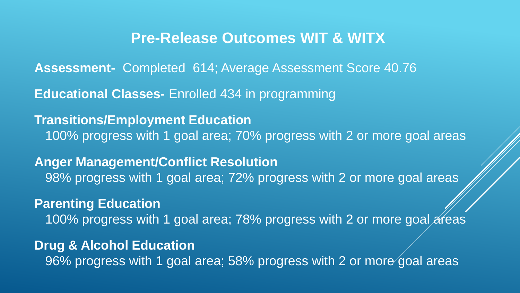#### **Pre-Release Outcomes WIT & WITX**

**Assessment-** Completed 614; Average Assessment Score 40.76

**Educational Classes-** Enrolled 434 in programming

**Transitions/Employment Education** 100% progress with 1 goal area; 70% progress with 2 or more goal areas

**Anger Management/Conflict Resolution** 98% progress with 1 goal area; 72% progress with 2 or more goal areas

**Parenting Education**

100% progress with 1 goal area; 78% progress with 2 or more goal areas

**Drug & Alcohol Education**

96% progress with 1 goal area; 58% progress with 2 or more goal areas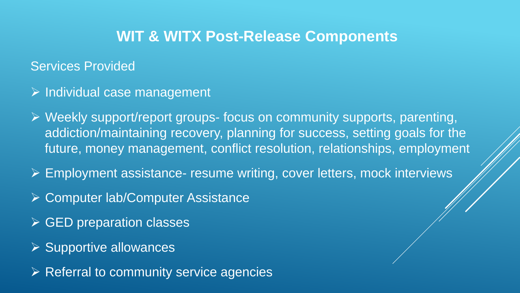### **WIT & WITX Post-Release Components**

#### Services Provided

- $\triangleright$  Individual case management
- Weekly support/report groups- focus on community supports, parenting, addiction/maintaining recovery, planning for success, setting goals for the future, money management, conflict resolution, relationships, employment
- Employment assistance- resume writing, cover letters, mock interviews
- **≻ Computer lab/Computer Assistance**
- $\triangleright$  GED preparation classes
- ▶ Supportive allowances
- $\triangleright$  Referral to community service agencies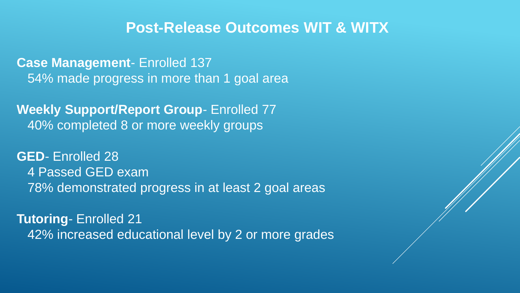#### **Post-Release Outcomes WIT & WITX**

**Case Management**- Enrolled 137 54% made progress in more than 1 goal area

**Weekly Support/Report Group**- Enrolled 77 40% completed 8 or more weekly groups

**GED**- Enrolled 28 4 Passed GED exam 78% demonstrated progress in at least 2 goal areas

**Tutoring**- Enrolled 21 42% increased educational level by 2 or more grades